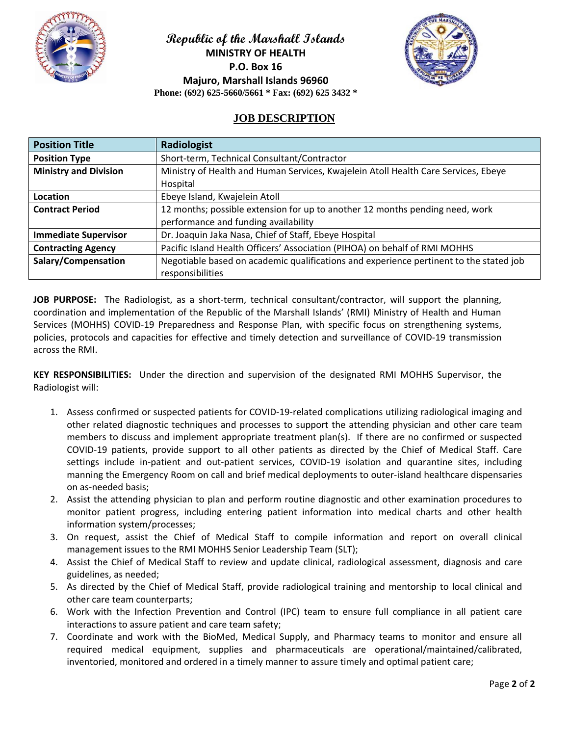

**Republic of the Marshall Islands MINISTRY OF HEALTH P.O. Box 16 Majuro, Marshall Islands 96960 Phone: (692) 625-5660/5661 \* Fax: (692) 625 3432 \***



# **JOB DESCRIPTION**

| <b>Position Title</b>        | Radiologist                                                                            |
|------------------------------|----------------------------------------------------------------------------------------|
| <b>Position Type</b>         | Short-term, Technical Consultant/Contractor                                            |
| <b>Ministry and Division</b> | Ministry of Health and Human Services, Kwajelein Atoll Health Care Services, Ebeye     |
|                              | Hospital                                                                               |
| Location                     | Ebeye Island, Kwajelein Atoll                                                          |
| <b>Contract Period</b>       | 12 months; possible extension for up to another 12 months pending need, work           |
|                              | performance and funding availability                                                   |
| <b>Immediate Supervisor</b>  | Dr. Joaquin Jaka Nasa, Chief of Staff, Ebeye Hospital                                  |
| <b>Contracting Agency</b>    | Pacific Island Health Officers' Association (PIHOA) on behalf of RMI MOHHS             |
| Salary/Compensation          | Negotiable based on academic qualifications and experience pertinent to the stated job |
|                              | responsibilities                                                                       |

**JOB PURPOSE:** The Radiologist, as a short-term, technical consultant/contractor, will support the planning, coordination and implementation of the Republic of the Marshall Islands' (RMI) Ministry of Health and Human Services (MOHHS) COVID-19 Preparedness and Response Plan, with specific focus on strengthening systems, policies, protocols and capacities for effective and timely detection and surveillance of COVID-19 transmission across the RMI.

**KEY RESPONSIBILITIES:** Under the direction and supervision of the designated RMI MOHHS Supervisor, the Radiologist will:

- 1. Assess confirmed or suspected patients for COVID-19-related complications utilizing radiological imaging and other related diagnostic techniques and processes to support the attending physician and other care team members to discuss and implement appropriate treatment plan(s). If there are no confirmed or suspected COVID-19 patients, provide support to all other patients as directed by the Chief of Medical Staff. Care settings include in-patient and out-patient services, COVID-19 isolation and quarantine sites, including manning the Emergency Room on call and brief medical deployments to outer-island healthcare dispensaries on as-needed basis;
- 2. Assist the attending physician to plan and perform routine diagnostic and other examination procedures to monitor patient progress, including entering patient information into medical charts and other health information system/processes;
- 3. On request, assist the Chief of Medical Staff to compile information and report on overall clinical management issues to the RMI MOHHS Senior Leadership Team (SLT);
- 4. Assist the Chief of Medical Staff to review and update clinical, radiological assessment, diagnosis and care guidelines, as needed;
- 5. As directed by the Chief of Medical Staff, provide radiological training and mentorship to local clinical and other care team counterparts;
- 6. Work with the Infection Prevention and Control (IPC) team to ensure full compliance in all patient care interactions to assure patient and care team safety;
- 7. Coordinate and work with the BioMed, Medical Supply, and Pharmacy teams to monitor and ensure all required medical equipment, supplies and pharmaceuticals are operational/maintained/calibrated, inventoried, monitored and ordered in a timely manner to assure timely and optimal patient care;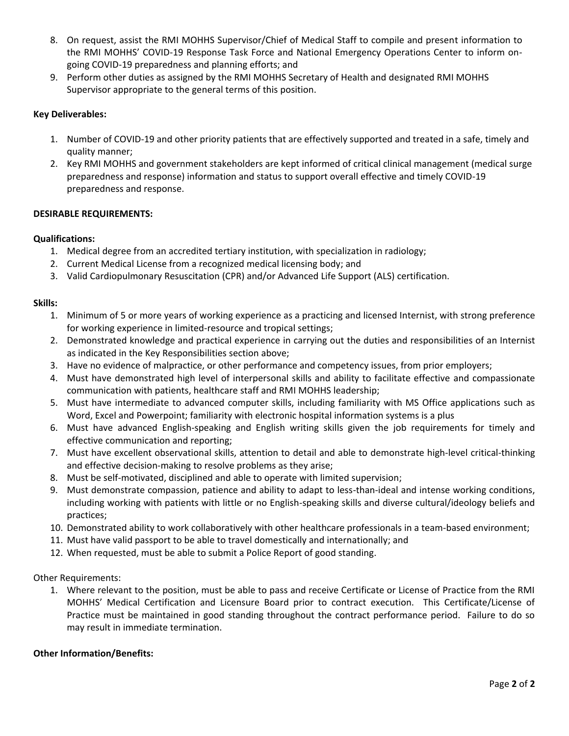- 8. On request, assist the RMI MOHHS Supervisor/Chief of Medical Staff to compile and present information to the RMI MOHHS' COVID-19 Response Task Force and National Emergency Operations Center to inform ongoing COVID-19 preparedness and planning efforts; and
- 9. Perform other duties as assigned by the RMI MOHHS Secretary of Health and designated RMI MOHHS Supervisor appropriate to the general terms of this position.

## **Key Deliverables:**

- 1. Number of COVID-19 and other priority patients that are effectively supported and treated in a safe, timely and quality manner;
- 2. Key RMI MOHHS and government stakeholders are kept informed of critical clinical management (medical surge preparedness and response) information and status to support overall effective and timely COVID-19 preparedness and response.

## **DESIRABLE REQUIREMENTS:**

## **Qualifications:**

- 1. Medical degree from an accredited tertiary institution, with specialization in radiology;
- 2. Current Medical License from a recognized medical licensing body; and
- 3. Valid Cardiopulmonary Resuscitation (CPR) and/or Advanced Life Support (ALS) certification.

## **Skills:**

- 1. Minimum of 5 or more years of working experience as a practicing and licensed Internist, with strong preference for working experience in limited-resource and tropical settings;
- 2. Demonstrated knowledge and practical experience in carrying out the duties and responsibilities of an Internist as indicated in the Key Responsibilities section above;
- 3. Have no evidence of malpractice, or other performance and competency issues, from prior employers;
- 4. Must have demonstrated high level of interpersonal skills and ability to facilitate effective and compassionate communication with patients, healthcare staff and RMI MOHHS leadership;
- 5. Must have intermediate to advanced computer skills, including familiarity with MS Office applications such as Word, Excel and Powerpoint; familiarity with electronic hospital information systems is a plus
- 6. Must have advanced English-speaking and English writing skills given the job requirements for timely and effective communication and reporting;
- 7. Must have excellent observational skills, attention to detail and able to demonstrate high-level critical-thinking and effective decision-making to resolve problems as they arise;
- 8. Must be self-motivated, disciplined and able to operate with limited supervision;
- 9. Must demonstrate compassion, patience and ability to adapt to less-than-ideal and intense working conditions, including working with patients with little or no English-speaking skills and diverse cultural/ideology beliefs and practices;
- 10. Demonstrated ability to work collaboratively with other healthcare professionals in a team-based environment;
- 11. Must have valid passport to be able to travel domestically and internationally; and
- 12. When requested, must be able to submit a Police Report of good standing.

Other Requirements:

1. Where relevant to the position, must be able to pass and receive Certificate or License of Practice from the RMI MOHHS' Medical Certification and Licensure Board prior to contract execution. This Certificate/License of Practice must be maintained in good standing throughout the contract performance period. Failure to do so may result in immediate termination.

## **Other Information/Benefits:**